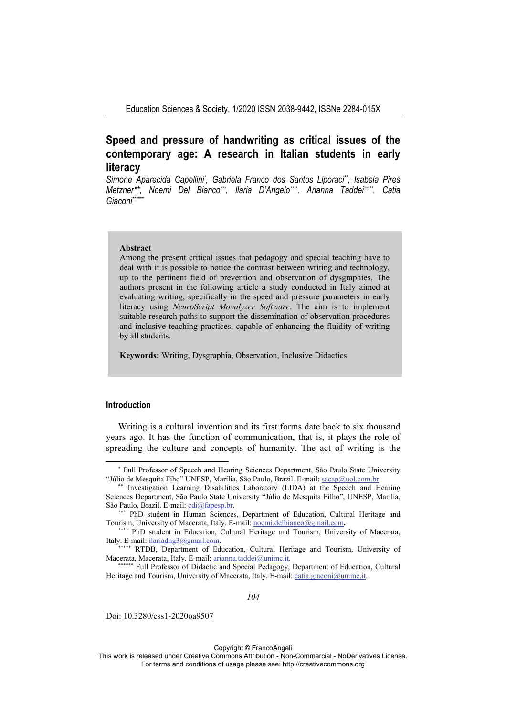# **Speed and pressure of handwriting as critical issues of the contemporary age: A research in Italian students in early literacy**

Simone Aparecida Capellini<sup>\*</sup>, Gabriela Franco dos Santos Liporaci<sup>\*\*</sup>, Isabela Pires *Metzner\*\*, Noemi Del Bianco\*\*\*, Ilaria D'Angelo\*\*\*\*, Arianna Taddei\*\*\*\*\*, Catia*  Giaconi<sup>\*\*\*\*\*\*</sup>\*

#### **Abstract**

Among the present critical issues that pedagogy and special teaching have to deal with it is possible to notice the contrast between writing and technology, up to the pertinent field of prevention and observation of dysgraphies. The authors present in the following article a study conducted in Italy aimed at evaluating writing, specifically in the speed and pressure parameters in early literacy using *NeuroScript Movalyzer Software*. The aim is to implement suitable research paths to support the dissemination of observation procedures and inclusive teaching practices, capable of enhancing the fluidity of writing by all students.

**Keywords:** Writing, Dysgraphia, Observation, Inclusive Didactics

# **Introduction**

Writing is a cultural invention and its first forms date back to six thousand years ago. It has the function of communication, that is, it plays the role of spreading the culture and concepts of humanity. The act of writing is the

*104* 

Doi: 10.3280/ess1-2020oa9507

Copyright © FrancoAngeli

This work is released under Creative Commons Attribution - Non-Commercial - NoDerivatives License. For terms and conditions of usage please see: http://creativecommons.org

<sup>\*</sup> Full Professor of Speech and Hearing Sciences Department, São Paulo State University "Júlio de Mesquita Fiho" UNESP, Marília, São Paulo, Brazil. E-mail: sacap@uol.com.br.<br>\*\* Investigation Learning Disabilities Laboratory (LIDA) at the Speech and Hearing

Sciences Department, São Paulo State University "Júlio de Mesquita Filho", UNESP, Marília, São Paulo, Brazil. E-mail: cdi@fapesp.br.

**<sup>\*\*\*</sup>** PhD student in Human Sciences, Department of Education, Cultural Heritage and Tourism, University of Macerata, Italy. E-mail: noemi.delbianco@gmail.com**. \*\*\*\*** PhD student in Education, Cultural Heritage and Tourism, University of Macerata,

Italy. E-mail: ilariadng3@gmail.com.<br>\*\*\*\*\*\* RTDB, Department of Education, Cultural Heritage and Tourism, University of

Macerata, Macerata, Italy. E-mail: arianna.taddei@unimc.it.<br>\*\*\*\*\*\*\* Full Professor of Didactic and Special Pedagogy, Department of Education, Cultural

Heritage and Tourism, University of Macerata, Italy. E-mail: catia.giaconi@unimc.it.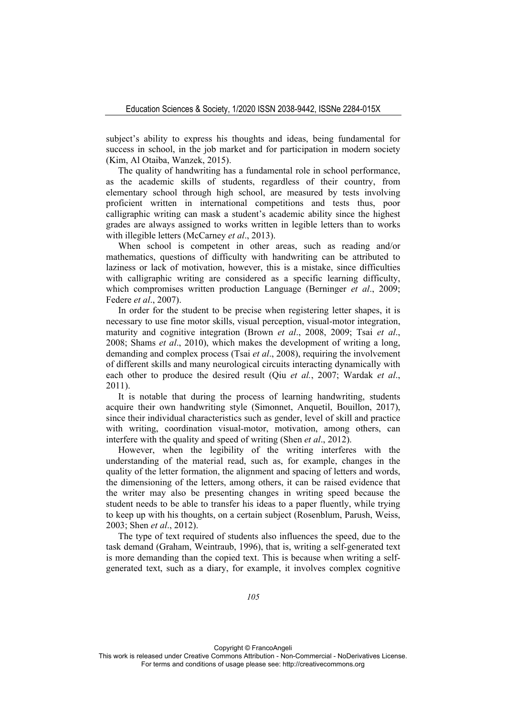subject's ability to express his thoughts and ideas, being fundamental for success in school, in the job market and for participation in modern society (Kim, Al Otaiba, Wanzek, 2015).

The quality of handwriting has a fundamental role in school performance, as the academic skills of students, regardless of their country, from elementary school through high school, are measured by tests involving proficient written in international competitions and tests thus, poor calligraphic writing can mask a student's academic ability since the highest grades are always assigned to works written in legible letters than to works with illegible letters (McCarney *et al*., 2013).

When school is competent in other areas, such as reading and/or mathematics, questions of difficulty with handwriting can be attributed to laziness or lack of motivation, however, this is a mistake, since difficulties with calligraphic writing are considered as a specific learning difficulty, which compromises written production Language (Berninger *et al*., 2009; Federe *et al*., 2007).

In order for the student to be precise when registering letter shapes, it is necessary to use fine motor skills, visual perception, visual-motor integration, maturity and cognitive integration (Brown *et al*., 2008, 2009; Tsai *et al*., 2008; Shams *et al*., 2010), which makes the development of writing a long, demanding and complex process (Tsai *et al*., 2008), requiring the involvement of different skills and many neurological circuits interacting dynamically with each other to produce the desired result (Qiu *et al.*, 2007; Wardak *et al*., 2011).

It is notable that during the process of learning handwriting, students acquire their own handwriting style (Simonnet, Anquetil, Bouillon, 2017), since their individual characteristics such as gender, level of skill and practice with writing, coordination visual-motor, motivation, among others, can interfere with the quality and speed of writing (Shen *et al*., 2012).

However, when the legibility of the writing interferes with the understanding of the material read, such as, for example, changes in the quality of the letter formation, the alignment and spacing of letters and words, the dimensioning of the letters, among others, it can be raised evidence that the writer may also be presenting changes in writing speed because the student needs to be able to transfer his ideas to a paper fluently, while trying to keep up with his thoughts, on a certain subject (Rosenblum, Parush, Weiss, 2003; Shen *et al*., 2012).

The type of text required of students also influences the speed, due to the task demand (Graham, Weintraub, 1996), that is, writing a self-generated text is more demanding than the copied text. This is because when writing a selfgenerated text, such as a diary, for example, it involves complex cognitive

Copyright © FrancoAngeli

This work is released under Creative Commons Attribution - Non-Commercial - NoDerivatives License. For terms and conditions of usage please see: http://creativecommons.org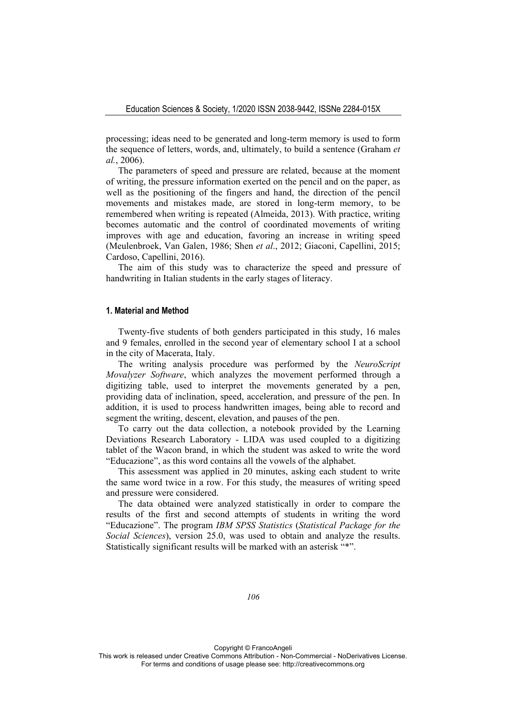processing; ideas need to be generated and long-term memory is used to form the sequence of letters, words, and, ultimately, to build a sentence (Graham *et al.*, 2006).

The parameters of speed and pressure are related, because at the moment of writing, the pressure information exerted on the pencil and on the paper, as well as the positioning of the fingers and hand, the direction of the pencil movements and mistakes made, are stored in long-term memory, to be remembered when writing is repeated (Almeida, 2013). With practice, writing becomes automatic and the control of coordinated movements of writing improves with age and education, favoring an increase in writing speed (Meulenbroek, Van Galen, 1986; Shen *et al*., 2012; Giaconi, Capellini, 2015; Cardoso, Capellini, 2016).

The aim of this study was to characterize the speed and pressure of handwriting in Italian students in the early stages of literacy.

# **1. Material and Method**

Twenty-five students of both genders participated in this study, 16 males and 9 females, enrolled in the second year of elementary school I at a school in the city of Macerata, Italy.

The writing analysis procedure was performed by the *NeuroScript Movalyzer Software*, which analyzes the movement performed through a digitizing table, used to interpret the movements generated by a pen, providing data of inclination, speed, acceleration, and pressure of the pen. In addition, it is used to process handwritten images, being able to record and segment the writing, descent, elevation, and pauses of the pen.

To carry out the data collection, a notebook provided by the Learning Deviations Research Laboratory - LIDA was used coupled to a digitizing tablet of the Wacon brand, in which the student was asked to write the word "Educazione", as this word contains all the vowels of the alphabet.

This assessment was applied in 20 minutes, asking each student to write the same word twice in a row. For this study, the measures of writing speed and pressure were considered.

The data obtained were analyzed statistically in order to compare the results of the first and second attempts of students in writing the word "Educazione". The program *IBM SPSS Statistics* (*Statistical Package for the Social Sciences*), version 25.0, was used to obtain and analyze the results. Statistically significant results will be marked with an asterisk "\*".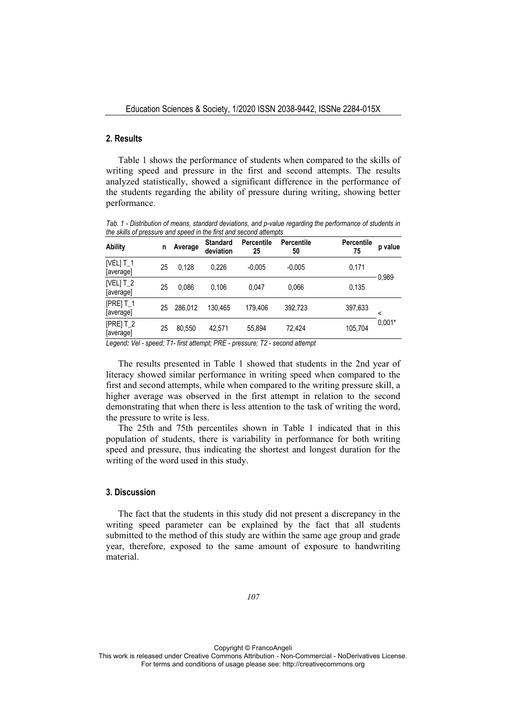# **2. Results**

Table 1 shows the performance of students when compared to the skills of writing speed and pressure in the first and second attempts. The results analyzed statistically, showed a significant difference in the performance of the students regarding the ability of pressure during writing, showing better performance.

*Tab. 1 - Distribution of means, standard deviations, and p-value regarding the performance of students in the skills of pressure and speed in the first and second attempts* 

| <b>Ability</b>               | n  | Average | <b>Standard</b><br>deviation | <b>Percentile</b><br>25 | <b>Percentile</b><br>50 | <b>Percentile</b><br>75 | p value       |
|------------------------------|----|---------|------------------------------|-------------------------|-------------------------|-------------------------|---------------|
| [VEL] $T_1$<br>[average]     | 25 | 0.128   | 0.226                        | $-0.005$                | $-0.005$                | 0.171                   | 0.989         |
| [VEL] $T_2$<br>[average]     | 25 | 0.086   | 0.106                        | 0.047                   | 0.066                   | 0,135                   |               |
| [ $PRE$ ] $T_1$<br>[average] | 25 | 286.012 | 130.465                      | 179.406                 | 392,723                 | 397,633                 | <<br>$0.001*$ |
| $[PRE]$ T_2<br>[average]     | 25 | 80.550  | 42.571                       | 55.894                  | 72.424                  | 105,704                 |               |

*Legend: Vel - speed; T1- first attempt; PRE - pressure; T2 - second attempt*

The results presented in Table 1 showed that students in the 2nd year of literacy showed similar performance in writing speed when compared to the first and second attempts, while when compared to the writing pressure skill, a higher average was observed in the first attempt in relation to the second demonstrating that when there is less attention to the task of writing the word, the pressure to write is less.

The 25th and 75th percentiles shown in Table 1 indicated that in this population of students, there is variability in performance for both writing speed and pressure, thus indicating the shortest and longest duration for the writing of the word used in this study.

# **3. Discussion**

The fact that the students in this study did not present a discrepancy in the writing speed parameter can be explained by the fact that all students submitted to the method of this study are within the same age group and grade year, therefore, exposed to the same amount of exposure to handwriting material.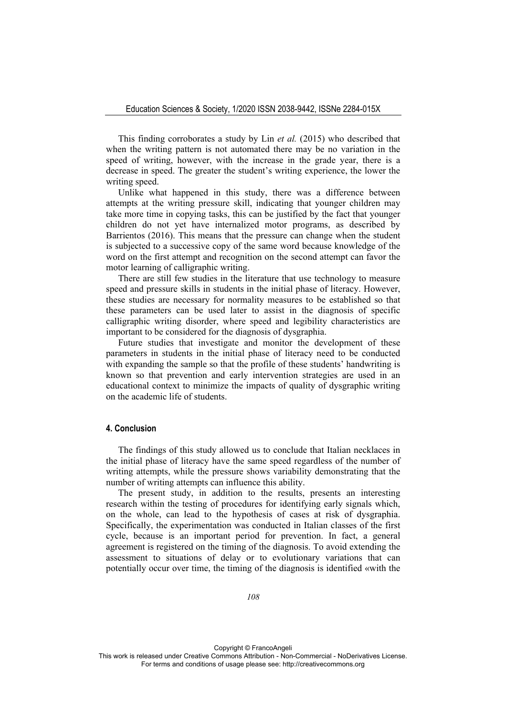This finding corroborates a study by Lin *et al.* (2015) who described that when the writing pattern is not automated there may be no variation in the speed of writing, however, with the increase in the grade year, there is a decrease in speed. The greater the student's writing experience, the lower the writing speed.

Unlike what happened in this study, there was a difference between attempts at the writing pressure skill, indicating that younger children may take more time in copying tasks, this can be justified by the fact that younger children do not yet have internalized motor programs, as described by Barrientos (2016). This means that the pressure can change when the student is subjected to a successive copy of the same word because knowledge of the word on the first attempt and recognition on the second attempt can favor the motor learning of calligraphic writing.

There are still few studies in the literature that use technology to measure speed and pressure skills in students in the initial phase of literacy. However, these studies are necessary for normality measures to be established so that these parameters can be used later to assist in the diagnosis of specific calligraphic writing disorder, where speed and legibility characteristics are important to be considered for the diagnosis of dysgraphia.

Future studies that investigate and monitor the development of these parameters in students in the initial phase of literacy need to be conducted with expanding the sample so that the profile of these students' handwriting is known so that prevention and early intervention strategies are used in an educational context to minimize the impacts of quality of dysgraphic writing on the academic life of students.

## **4. Conclusion**

The findings of this study allowed us to conclude that Italian necklaces in the initial phase of literacy have the same speed regardless of the number of writing attempts, while the pressure shows variability demonstrating that the number of writing attempts can influence this ability.

The present study, in addition to the results, presents an interesting research within the testing of procedures for identifying early signals which, on the whole, can lead to the hypothesis of cases at risk of dysgraphia. Specifically, the experimentation was conducted in Italian classes of the first cycle, because is an important period for prevention. In fact, a general agreement is registered on the timing of the diagnosis. To avoid extending the assessment to situations of delay or to evolutionary variations that can potentially occur over time, the timing of the diagnosis is identified «with the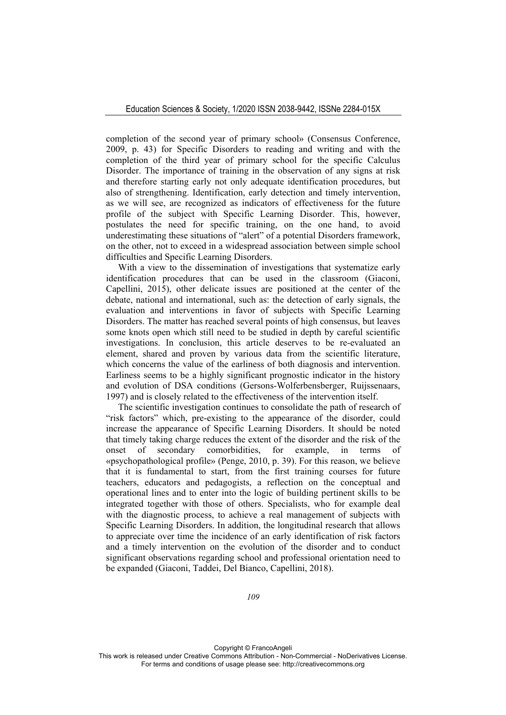completion of the second year of primary school» (Consensus Conference, 2009, p. 43) for Specific Disorders to reading and writing and with the completion of the third year of primary school for the specific Calculus Disorder. The importance of training in the observation of any signs at risk and therefore starting early not only adequate identification procedures, but also of strengthening. Identification, early detection and timely intervention, as we will see, are recognized as indicators of effectiveness for the future profile of the subject with Specific Learning Disorder. This, however, postulates the need for specific training, on the one hand, to avoid underestimating these situations of "alert" of a potential Disorders framework, on the other, not to exceed in a widespread association between simple school difficulties and Specific Learning Disorders.

With a view to the dissemination of investigations that systematize early identification procedures that can be used in the classroom (Giaconi, Capellini, 2015), other delicate issues are positioned at the center of the debate, national and international, such as: the detection of early signals, the evaluation and interventions in favor of subjects with Specific Learning Disorders. The matter has reached several points of high consensus, but leaves some knots open which still need to be studied in depth by careful scientific investigations. In conclusion, this article deserves to be re-evaluated an element, shared and proven by various data from the scientific literature, which concerns the value of the earliness of both diagnosis and intervention. Earliness seems to be a highly significant prognostic indicator in the history and evolution of DSA conditions (Gersons-Wolferbensberger, Ruijssenaars, 1997) and is closely related to the effectiveness of the intervention itself.

The scientific investigation continues to consolidate the path of research of "risk factors" which, pre-existing to the appearance of the disorder, could increase the appearance of Specific Learning Disorders. It should be noted that timely taking charge reduces the extent of the disorder and the risk of the onset of secondary comorbidities, for example, in terms of «psychopathological profile» (Penge, 2010, p. 39). For this reason, we believe that it is fundamental to start, from the first training courses for future teachers, educators and pedagogists, a reflection on the conceptual and operational lines and to enter into the logic of building pertinent skills to be integrated together with those of others. Specialists, who for example deal with the diagnostic process, to achieve a real management of subjects with Specific Learning Disorders. In addition, the longitudinal research that allows to appreciate over time the incidence of an early identification of risk factors and a timely intervention on the evolution of the disorder and to conduct significant observations regarding school and professional orientation need to be expanded (Giaconi, Taddei, Del Bianco, Capellini, 2018).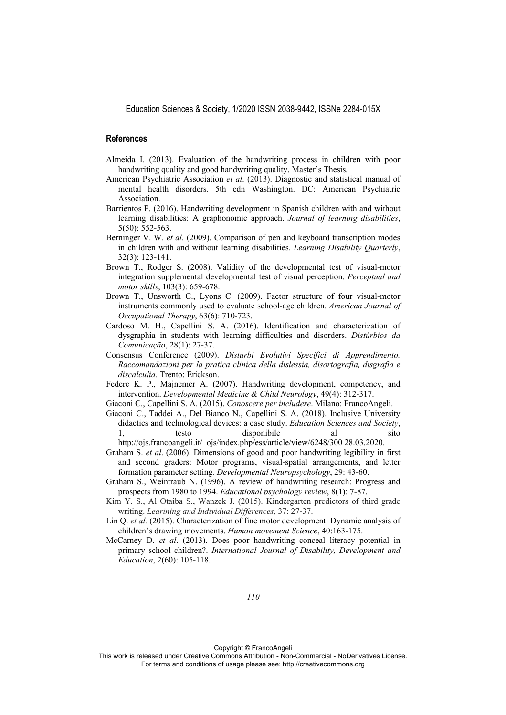## **References**

- Almeida I. (2013). Evaluation of the handwriting process in children with poor handwriting quality and good handwriting quality. Master's Thesis*.*
- American Psychiatric Association *et al*. (2013). Diagnostic and statistical manual of mental health disorders. 5th edn Washington. DC: American Psychiatric Association.
- Barrientos P. (2016). Handwriting development in Spanish children with and without learning disabilities: A graphonomic approach. *Journal of learning disabilities*, 5(50): 552-563.
- Berninger V. W. *et al.* (2009). Comparison of pen and keyboard transcription modes in children with and without learning disabilities*. Learning Disability Quarterly*, 32(3): 123-141.
- Brown T., Rodger S. (2008). Validity of the developmental test of visual-motor integration supplemental developmental test of visual perception. *Perceptual and motor skills*, 103(3): 659-678.
- Brown T., Unsworth C., Lyons C. (2009). Factor structure of four visual-motor instruments commonly used to evaluate school-age children. *American Journal of Occupational Therapy*, 63(6): 710-723.
- Cardoso M. H., Capellini S. A. (2016). Identification and characterization of dysgraphia in students with learning difficulties and disorders. *Distúrbios da Comunicação*, 28(1): 27-37.
- Consensus Conference (2009). *Disturbi Evolutivi Specifici di Apprendimento. Raccomandazioni per la pratica clinica della dislessia, disortografia, disgrafia e discalculia*. Trento: Erickson.
- Federe K. P., Majnemer A. (2007). Handwriting development, competency, and intervention. *Developmental Medicine & Child Neurology*, 49(4): 312-317.
- Giaconi C., Capellini S. A. (2015). *Conoscere per includere*. Milano: FrancoAngeli.
- Giaconi C., Taddei A., Del Bianco N., Capellini S. A. (2018). Inclusive University didactics and technological devices: a case study. *Education Sciences and Society*, 1, testo disponibile al sito

- Graham S. *et al*. (2006). Dimensions of good and poor handwriting legibility in first and second graders: Motor programs, visual-spatial arrangements, and letter formation parameter setting*. Developmental Neuropsychology*, 29: 43-60.
- Graham S., Weintraub N. (1996). A review of handwriting research: Progress and prospects from 1980 to 1994. *Educational psychology review*, 8(1): 7-87.
- Kim Y. S., Al Otaiba S., Wanzek J. (2015). Kindergarten predictors of third grade writing. *Learining and Individual Differences*, 37: 27-37.
- Lin Q. *et al.* (2015). Characterization of fine motor development: Dynamic analysis of children's drawing movements. *Human movement Science*, 40:163-175.
- McCarney D. *et al*. (2013). Does poor handwriting conceal literacy potential in primary school children?. *International Journal of Disability, Development and Education*, 2(60): 105-118.

Copyright © FrancoAngeli

http://ojs.francoangeli.it/\_ojs/index.php/ess/article/view/6248/300 28.03.2020.

This work is released under Creative Commons Attribution - Non-Commercial - NoDerivatives License. For terms and conditions of usage please see: http://creativecommons.org